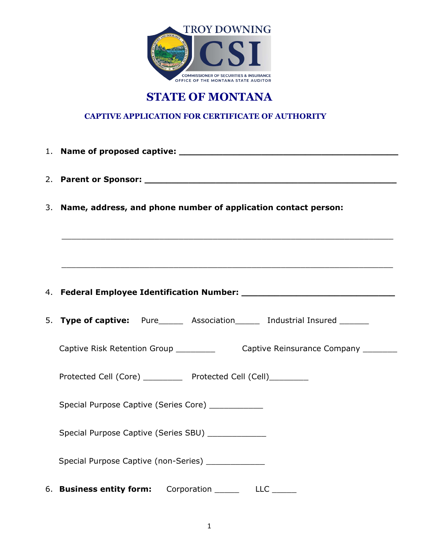

# **STATE OF MONTANA**

## **CAPTIVE APPLICATION FOR CERTIFICATE OF AUTHORITY**

| 3. Name, address, and phone number of application contact person:                                             |
|---------------------------------------------------------------------------------------------------------------|
|                                                                                                               |
| ,我们也不能会在这里,我们的人们就会在这里,我们的人们就会不会在这里,我们的人们就会不会在这里。""我们的人们,我们也不会不会不会。""我们的人们,我们也不会不                              |
|                                                                                                               |
| 5. Type of captive: Pure______ Association_______ Industrial Insured _______                                  |
|                                                                                                               |
| Protected Cell (Core) __________ Protected Cell (Cell)_________                                               |
| Special Purpose Captive (Series Core) ____________                                                            |
| Special Purpose Captive (Series SBU) _____________                                                            |
| Special Purpose Captive (non-Series) ______________<br>6. Business entity form: Corporation _______ LLC _____ |
|                                                                                                               |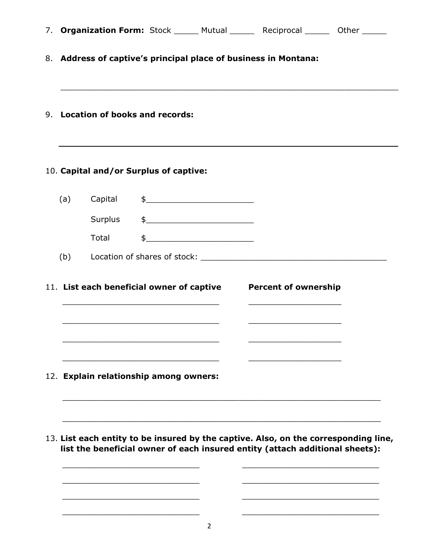|     |                                                                 |               | 7. Organization Form: Stock ______ Mutual _______ Reciprocal _______ Other ______                         |
|-----|-----------------------------------------------------------------|---------------|-----------------------------------------------------------------------------------------------------------|
|     | 8. Address of captive's principal place of business in Montana: |               |                                                                                                           |
|     | 9. Location of books and records:                               |               |                                                                                                           |
|     | 10. Capital and/or Surplus of captive:                          |               |                                                                                                           |
| (a) | Capital                                                         | $\frac{1}{2}$ |                                                                                                           |
|     | Surplus                                                         | $\frac{1}{2}$ |                                                                                                           |
|     | Total                                                           | $\frac{1}{2}$ |                                                                                                           |
|     |                                                                 |               |                                                                                                           |
|     | 11. List each beneficial owner of captive                       |               | <b>Percent of ownership</b><br>the control of the control of the control of the control of the control of |
|     | 12. Explain relationship among owners:                          |               |                                                                                                           |
|     |                                                                 |               |                                                                                                           |
|     |                                                                 |               | 13. List each entity to be insured by the captive. Also, on the corresponding line,                       |
|     |                                                                 |               | list the beneficial owner of each insured entity (attach additional sheets):                              |
|     |                                                                 |               |                                                                                                           |
|     |                                                                 |               |                                                                                                           |

2

\_\_\_\_\_\_\_\_\_\_\_\_\_\_\_\_\_\_\_\_\_\_\_\_\_\_\_\_ \_\_\_\_\_\_\_\_\_\_\_\_\_\_\_\_\_\_\_\_\_\_\_\_\_\_\_\_

\_\_\_\_\_\_\_\_\_\_\_\_\_\_\_\_\_\_\_\_\_\_\_\_\_\_\_\_ \_\_\_\_\_\_\_\_\_\_\_\_\_\_\_\_\_\_\_\_\_\_\_\_\_\_\_\_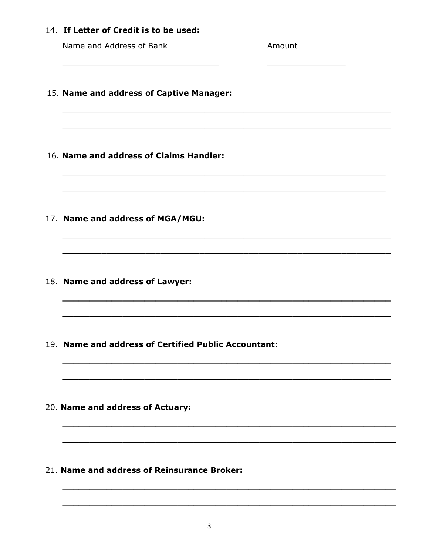#### 14. If Letter of Credit is to be used:

Name and Address of Bank

Amount

15. Name and address of Captive Manager:

- 16. Name and address of Claims Handler:
- 17. Name and address of MGA/MGU:
- 18. Name and address of Lawyer:
- 19. Name and address of Certified Public Accountant:
- 20. Name and address of Actuary:
- 21. Name and address of Reinsurance Broker: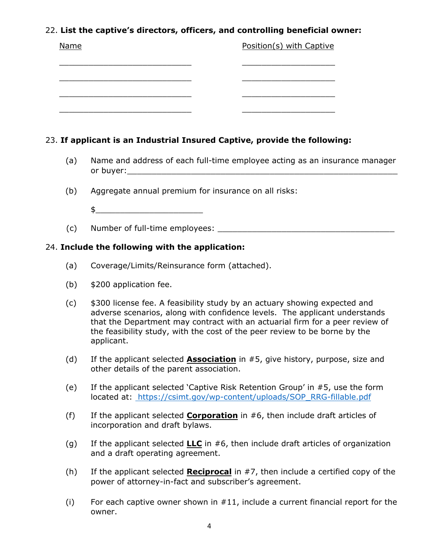### 22. **List the captive's directors, officers, and controlling beneficial owner:**

- (a) Name and address of each full-time employee acting as an insurance manager or buyer:
- (b) Aggregate annual premium for insurance on all risks:
	- $\updownarrow$
- (c) Number of full-time employees: \_\_\_\_\_\_\_\_\_\_\_\_\_\_\_\_\_\_\_\_\_\_\_\_\_\_\_\_\_\_\_\_\_\_\_\_

#### 24. **Include the following with the application:**

- (a) Coverage/Limits/Reinsurance form (attached).
- (b) \$200 application fee.
- (c) \$300 license fee. A feasibility study by an actuary showing expected and adverse scenarios, along with confidence levels. The applicant understands that the Department may contract with an actuarial firm for a peer review of the feasibility study, with the cost of the peer review to be borne by the applicant.
- (d) If the applicant selected **Association** in #5, give history, purpose, size and other details of the parent association.
- (e) If the applicant selected 'Captive Risk Retention Group' in #5, use the form located at: https://csimt.gov/wp-content/uploads/SOP\_RRG-fillable.pdf
- (f) If the applicant selected **Corporation** in #6, then include draft articles of incorporation and draft bylaws.
- (g) If the applicant selected **LLC** in #6, then include draft articles of organization and a draft operating agreement.
- (h) If the applicant selected **Reciprocal** in #7, then include a certified copy of the power of attorney-in-fact and subscriber's agreement.
- (i) For each captive owner shown in  $#11$ , include a current financial report for the owner.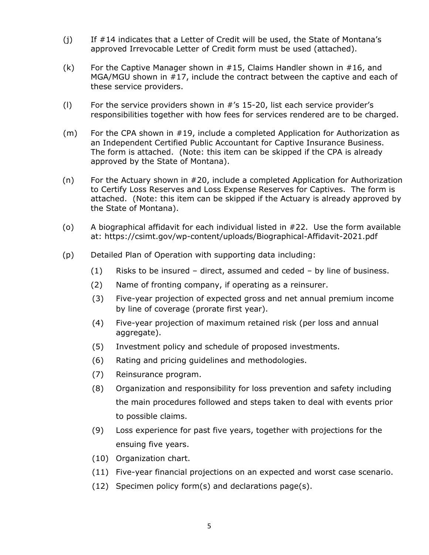- (j) If #14 indicates that a Letter of Credit will be used, the State of Montana's approved Irrevocable Letter of Credit form must be used (attached).
- (k) For the Captive Manager shown in #15, Claims Handler shown in #16, and MGA/MGU shown in #17, include the contract between the captive and each of these service providers.
- (I) For the service providers shown in  $\#$ 's 15-20, list each service provider's responsibilities together with how fees for services rendered are to be charged.
- (m) For the CPA shown in #19, include a completed Application for Authorization as an Independent Certified Public Accountant for Captive Insurance Business. The form is attached. (Note: this item can be skipped if the CPA is already approved by the State of Montana).
- (n) For the Actuary shown in #20, include a completed Application for Authorization to Certify Loss Reserves and Loss Expense Reserves for Captives. The form is attached. (Note: this item can be skipped if the Actuary is already approved by the State of Montana).
- (o) A biographical affidavit for each individual listed in #22. Use the form available at: https://csimt.gov/wp-content/uploads/Biographical-Affidavit-2021.pdf
- (p) Detailed Plan of Operation with supporting data including:
	- (1) Risks to be insured direct, assumed and ceded by line of business.
	- (2) Name of fronting company, if operating as a reinsurer.
	- (3) Five-year projection of expected gross and net annual premium income by line of coverage (prorate first year).
	- (4) Five-year projection of maximum retained risk (per loss and annual aggregate).
	- (5) Investment policy and schedule of proposed investments.
	- (6) Rating and pricing guidelines and methodologies.
	- (7) Reinsurance program.
	- (8) Organization and responsibility for loss prevention and safety including the main procedures followed and steps taken to deal with events prior to possible claims.
	- (9) Loss experience for past five years, together with projections for the ensuing five years.
	- (10) Organization chart.
	- (11) Five-year financial projections on an expected and worst case scenario.
	- (12) Specimen policy form(s) and declarations page(s).